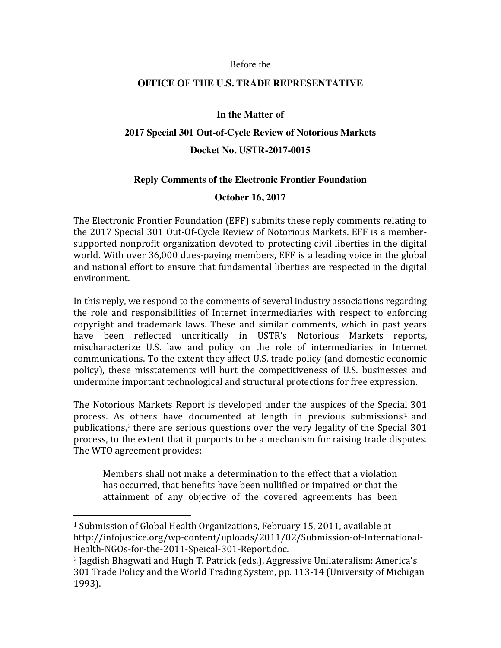#### Before the

### **OFFICE OF THE U.S. TRADE REPRESENTATIVE**

### **In the Matter of**

### **2017 Special 301 Out-of-Cycle Review of Notorious Markets**

### **Docket No. USTR-2017-0015**

#### **Reply Comments of the Electronic Frontier Foundation**

#### **October 16, 2017**

The Electronic Frontier Foundation (EFF) submits these reply comments relating to the 2017 Special 301 Out-Of-Cycle Review of Notorious Markets. EFF is a membersupported nonprofit organization devoted to protecting civil liberties in the digital world. With over  $36,000$  dues-paying members, EFF is a leading voice in the global and national effort to ensure that fundamental liberties are respected in the digital environment.

In this reply, we respond to the comments of several industry associations regarding the role and responsibilities of Internet intermediaries with respect to enforcing copyright and trademark laws. These and similar comments, which in past years have been reflected uncritically in USTR's Notorious Markets reports, mischaracterize U.S. law and policy on the role of intermediaries in Internet communications. To the extent they affect U.S. trade policy (and domestic economic policy), these misstatements will hurt the competitiveness of U.S. businesses and undermine important technological and structural protections for free expression.

The Notorious Markets Report is developed under the auspices of the Special 301 process. As others have documented at length in previous submissions<sup>1</sup> and publications, $2$  there are serious questions over the very legality of the Special 301 process, to the extent that it purports to be a mechanism for raising trade disputes. The WTO agreement provides:

Members shall not make a determination to the effect that a violation has occurred, that benefits have been nullified or impaired or that the attainment of any objective of the covered agreements has been

 

 $1$  Submission of Global Health Organizations, February 15, 2011, available at http://infojustice.org/wp-content/uploads/2011/02/Submission-of-International-Health-NGOs-for-the-2011-Speical-301-Report.doc.

<sup>&</sup>lt;sup>2</sup> Jagdish Bhagwati and Hugh T. Patrick (eds.), Aggressive Unilateralism: America's 301 Trade Policy and the World Trading System, pp. 113-14 (University of Michigan 1993).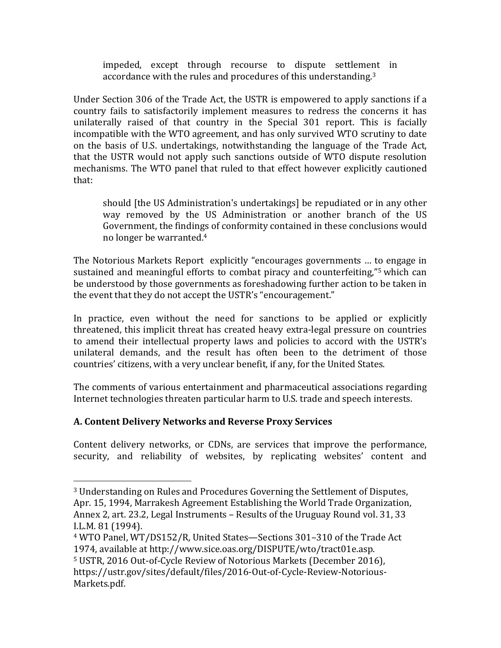impeded, except through recourse to dispute settlement in accordance with the rules and procedures of this understanding.<sup>3</sup>

Under Section 306 of the Trade Act, the USTR is empowered to apply sanctions if a country fails to satisfactorily implement measures to redress the concerns it has unilaterally raised of that country in the Special 301 report. This is facially incompatible with the WTO agreement, and has only survived WTO scrutiny to date on the basis of U.S. undertakings, notwithstanding the language of the Trade Act, that the USTR would not apply such sanctions outside of WTO dispute resolution mechanisms. The WTO panel that ruled to that effect however explicitly cautioned that:

should [the US Administration's undertakings] be repudiated or in any other way removed by the US Administration or another branch of the US Government, the findings of conformity contained in these conclusions would no longer be warranted.<sup>4</sup>

The Notorious Markets Report explicitly "encourages governments ... to engage in sustained and meaningful efforts to combat piracy and counterfeiting,"<sup>5</sup> which can be understood by those governments as foreshadowing further action to be taken in the event that they do not accept the USTR's "encouragement."

In practice, even without the need for sanctions to be applied or explicitly threatened, this implicit threat has created heavy extra-legal pressure on countries to amend their intellectual property laws and policies to accord with the USTR's unilateral demands, and the result has often been to the detriment of those countries' citizens, with a very unclear benefit, if any, for the United States.

The comments of various entertainment and pharmaceutical associations regarding Internet technologies threaten particular harm to U.S. trade and speech interests.

# **A. Content Delivery Networks and Reverse Proxy Services**

 

Content delivery networks, or CDNs, are services that improve the performance, security, and reliability of websites, by replicating websites' content and

<sup>&</sup>lt;sup>3</sup> Understanding on Rules and Procedures Governing the Settlement of Disputes, Apr. 15, 1994, Marrakesh Agreement Establishing the World Trade Organization, Annex 2, art. 23.2, Legal Instruments – Results of the Uruguay Round vol. 31, 33 I.L.M. 81 (1994).

 $4$  WTO Panel, WT/DS152/R, United States—Sections 301–310 of the Trade Act 1974, available at http://www.sice.oas.org/DISPUTE/wto/tract01e.asp.

<sup>&</sup>lt;sup>5</sup> USTR, 2016 Out-of-Cycle Review of Notorious Markets (December 2016),

https://ustr.gov/sites/default/files/2016-Out-of-Cycle-Review-Notorious-Markets.pdf.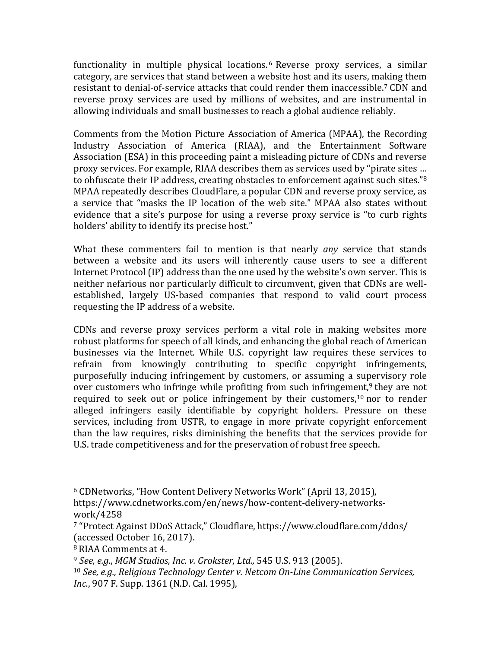functionality in multiple physical locations.<sup>6</sup> Reverse proxy services, a similar category, are services that stand between a website host and its users, making them resistant to denial-of-service attacks that could render them inaccessible.<sup>7</sup> CDN and reverse proxy services are used by millions of websites, and are instrumental in allowing individuals and small businesses to reach a global audience reliably.

Comments from the Motion Picture Association of America (MPAA), the Recording Industry Association of America (RIAA), and the Entertainment Software Association (ESA) in this proceeding paint a misleading picture of CDNs and reverse proxy services. For example, RIAA describes them as services used by "pirate sites ... to obfuscate their IP address, creating obstacles to enforcement against such sites."<sup>8</sup> MPAA repeatedly describes CloudFlare, a popular CDN and reverse proxy service, as a service that "masks the IP location of the web site." MPAA also states without evidence that a site's purpose for using a reverse proxy service is "to curb rights holders' ability to identify its precise host."

What these commenters fail to mention is that nearly *any* service that stands between a website and its users will inherently cause users to see a different Internet Protocol (IP) address than the one used by the website's own server. This is neither nefarious nor particularly difficult to circumvent, given that CDNs are wellestablished, largely US-based companies that respond to valid court process requesting the IP address of a website.

CDNs and reverse proxy services perform a vital role in making websites more robust platforms for speech of all kinds, and enhancing the global reach of American businesses via the Internet. While U.S. copyright law requires these services to refrain from knowingly contributing to specific copyright infringements, purposefully inducing infringement by customers, or assuming a supervisory role over customers who infringe while profiting from such infringement,<sup>9</sup> they are not required to seek out or police infringement by their customers,<sup>10</sup> nor to render alleged infringers easily identifiable by copyright holders. Pressure on these services, including from USTR, to engage in more private copyright enforcement than the law requires, risks diminishing the benefits that the services provide for U.S. trade competitiveness and for the preservation of robust free speech.

 

<sup>&</sup>lt;sup>6</sup> CDNetworks, "How Content Delivery Networks Work" (April 13, 2015), https://www.cdnetworks.com/en/news/how-content-delivery-networkswork/4258

<sup>&</sup>lt;sup>7</sup> "Protect Against DDoS Attack," Cloudflare, https://www.cloudflare.com/ddos/ (accessed October 16, 2017).

<sup>&</sup>lt;sup>8</sup> RIAA Comments at 4.

<sup>&</sup>lt;sup>9</sup> See, e.g., MGM Studios, Inc. v. Grokster, Ltd., 545 U.S. 913 (2005).

<sup>&</sup>lt;sup>10</sup> *See, e.g., Religious Technology Center v. Netcom On-Line Communication Services, Inc.*, 907 F. Supp. 1361 (N.D. Cal. 1995),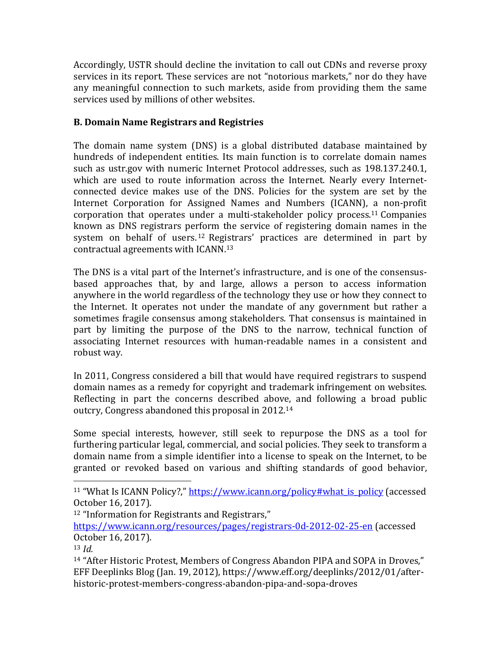Accordingly, USTR should decline the invitation to call out CDNs and reverse proxy services in its report. These services are not "notorious markets," nor do they have any meaningful connection to such markets, aside from providing them the same services used by millions of other websites.

### **B. Domain Name Registrars and Registries**

The domain name system (DNS) is a global distributed database maintained by hundreds of independent entities. Its main function is to correlate domain names such as ustr.gov with numeric Internet Protocol addresses, such as 198.137.240.1, which are used to route information across the Internet. Nearly every Internetconnected device makes use of the DNS. Policies for the system are set by the Internet Corporation for Assigned Names and Numbers (ICANN), a non-profit corporation that operates under a multi-stakeholder policy process.<sup>11</sup> Companies known as DNS registrars perform the service of registering domain names in the system on behalf of users.<sup>12</sup> Registrars' practices are determined in part by contractual agreements with ICANN.<sup>13</sup>

The DNS is a vital part of the Internet's infrastructure, and is one of the consensusbased approaches that, by and large, allows a person to access information anywhere in the world regardless of the technology they use or how they connect to the Internet. It operates not under the mandate of any government but rather a sometimes fragile consensus among stakeholders. That consensus is maintained in part by limiting the purpose of the DNS to the narrow, technical function of associating Internet resources with human-readable names in a consistent and robust way.

In 2011, Congress considered a bill that would have required registrars to suspend domain names as a remedy for copyright and trademark infringement on websites. Reflecting in part the concerns described above, and following a broad public outcry, Congress abandoned this proposal in 2012.<sup>14</sup>

Some special interests, however, still seek to repurpose the DNS as a tool for furthering particular legal, commercial, and social policies. They seek to transform a domain name from a simple identifier into a license to speak on the Internet, to be granted or revoked based on various and shifting standards of good behavior,

 $12$  "Information for Registrants and Registrars,"

 

https://www.icann.org/resources/pages/registrars-0d-2012-02-25-en (accessed October 16, 2017).

<sup>14</sup> "After Historic Protest, Members of Congress Abandon PIPA and SOPA in Droves," EFF Deeplinks Blog (Jan. 19, 2012), https://www.eff.org/deeplinks/2012/01/afterhistoric-protest-members-congress-abandon-pipa-and-sopa-droves

<sup>&</sup>lt;sup>11</sup> "What Is ICANN Policy?," https://www.icann.org/policy#what is policy (accessed October 16, 2017).

<sup>13</sup> *Id.*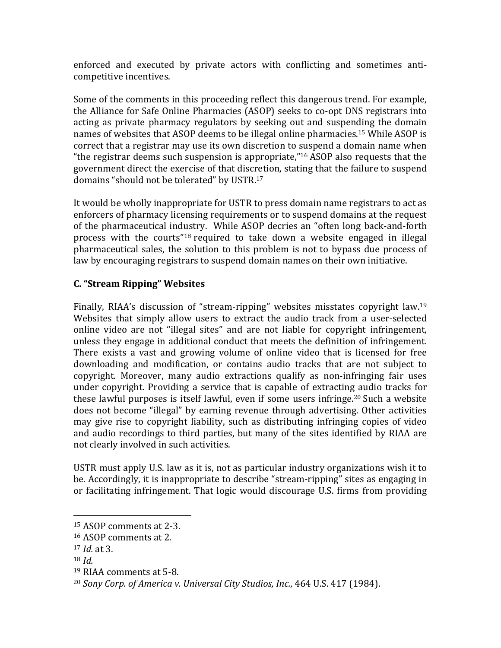enforced and executed by private actors with conflicting and sometimes anticompetitive incentives.

Some of the comments in this proceeding reflect this dangerous trend. For example, the Alliance for Safe Online Pharmacies (ASOP) seeks to co-opt DNS registrars into acting as private pharmacy regulators by seeking out and suspending the domain names of websites that ASOP deems to be illegal online pharmacies.<sup>15</sup> While ASOP is correct that a registrar may use its own discretion to suspend a domain name when "the registrar deems such suspension is appropriate,"<sup>16</sup> ASOP also requests that the government direct the exercise of that discretion, stating that the failure to suspend domains "should not be tolerated" by USTR.<sup>17</sup>

It would be wholly inappropriate for USTR to press domain name registrars to act as enforcers of pharmacy licensing requirements or to suspend domains at the request of the pharmaceutical industry. While ASOP decries an "often long back-and-forth process with the courts"<sup>18</sup> required to take down a website engaged in illegal pharmaceutical sales, the solution to this problem is not to bypass due process of law by encouraging registrars to suspend domain names on their own initiative.

## **C. "Stream Ripping" Websites**

Finally, RIAA's discussion of "stream-ripping" websites misstates copyright law.<sup>19</sup> Websites that simply allow users to extract the audio track from a user-selected online video are not "illegal sites" and are not liable for copyright infringement, unless they engage in additional conduct that meets the definition of infringement. There exists a vast and growing volume of online video that is licensed for free downloading and modification, or contains audio tracks that are not subject to copyright. Moreover, many audio extractions qualify as non-infringing fair uses under copyright. Providing a service that is capable of extracting audio tracks for these lawful purposes is itself lawful, even if some users infringe.<sup>20</sup> Such a website does not become "illegal" by earning revenue through advertising. Other activities may give rise to copyright liability, such as distributing infringing copies of video and audio recordings to third parties, but many of the sites identified by RIAA are not clearly involved in such activities.

USTR must apply U.S. law as it is, not as particular industry organizations wish it to be. Accordingly, it is inappropriate to describe "stream-ripping" sites as engaging in or facilitating infringement. That logic would discourage U.S. firms from providing

 <sup>15</sup> ASOP comments at 2-3.

<sup>&</sup>lt;sup>16</sup> ASOP comments at 2.

<sup>17</sup> *Id.* at 3.

 $18$  *Id.* 

<sup>&</sup>lt;sup>19</sup> RIAA comments at 5-8.

<sup>&</sup>lt;sup>20</sup> Sony Corp. of America v. Universal City Studios, Inc., 464 U.S. 417 (1984).